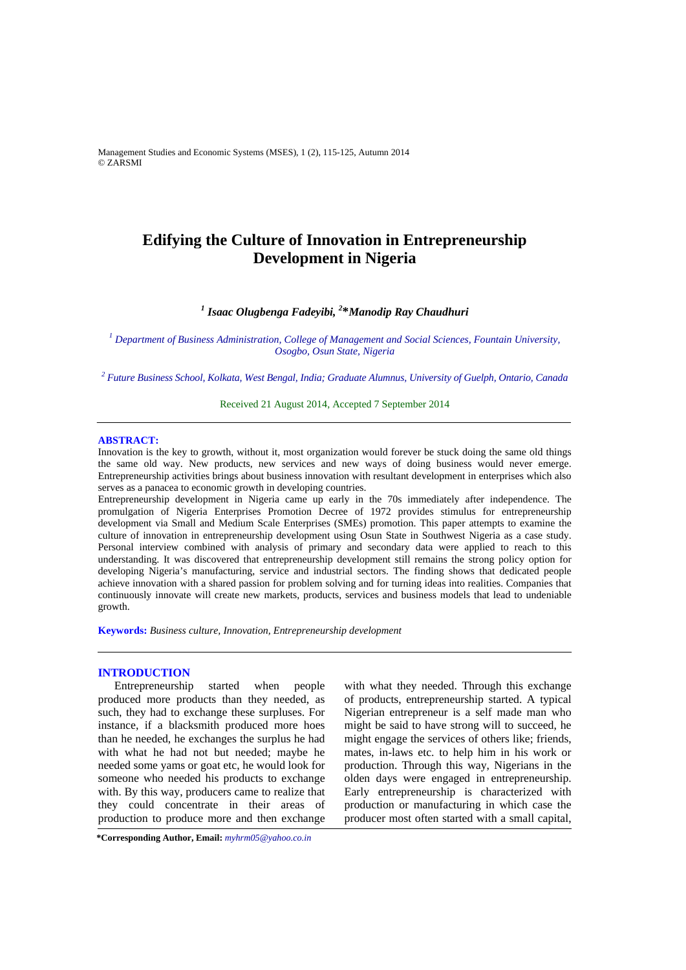Management Studies and Economic Systems (MSES), 1 (2), 115-125, Autumn 2014 © ZARSMI

# **Edifying the Culture of Innovation in Entrepreneurship Development in Nigeria**

# *1 Isaac Olugbenga Fadeyibi, 2* **\****Manodip Ray Chaudhuri*

*1 Department of Business Administration, College of Management and Social Sciences, Fountain University, Osogbo, Osun State, Nigeria* 

*2 Future Business School, Kolkata, West Bengal, India; Graduate Alumnus, University of Guelph, Ontario, Canada* 

Received 21 August 2014, Accepted 7 September 2014

#### **ABSTRACT:**

Innovation is the key to growth, without it, most organization would forever be stuck doing the same old things the same old way. New products, new services and new ways of doing business would never emerge. Entrepreneurship activities brings about business innovation with resultant development in enterprises which also serves as a panacea to economic growth in developing countries.

Entrepreneurship development in Nigeria came up early in the 70s immediately after independence. The promulgation of Nigeria Enterprises Promotion Decree of 1972 provides stimulus for entrepreneurship development via Small and Medium Scale Enterprises (SMEs) promotion. This paper attempts to examine the culture of innovation in entrepreneurship development using Osun State in Southwest Nigeria as a case study. Personal interview combined with analysis of primary and secondary data were applied to reach to this understanding. It was discovered that entrepreneurship development still remains the strong policy option for developing Nigeria's manufacturing, service and industrial sectors. The finding shows that dedicated people achieve innovation with a shared passion for problem solving and for turning ideas into realities. Companies that continuously innovate will create new markets, products, services and business models that lead to undeniable growth.

**Keywords:** *Business culture, Innovation, Entrepreneurship development* 

# **INTRODUCTION**

Entrepreneurship started when people produced more products than they needed, as such, they had to exchange these surpluses. For instance, if a blacksmith produced more hoes than he needed, he exchanges the surplus he had with what he had not but needed; maybe he needed some yams or goat etc, he would look for someone who needed his products to exchange with. By this way, producers came to realize that they could concentrate in their areas of production to produce more and then exchange

with what they needed. Through this exchange of products, entrepreneurship started. A typical Nigerian entrepreneur is a self made man who might be said to have strong will to succeed, he might engage the services of others like; friends, mates, in-laws etc. to help him in his work or production. Through this way, Nigerians in the olden days were engaged in entrepreneurship. Early entrepreneurship is characterized with production or manufacturing in which case the producer most often started with a small capital,

**\*Corresponding Author, Email:** *myhrm05@yahoo.co.in*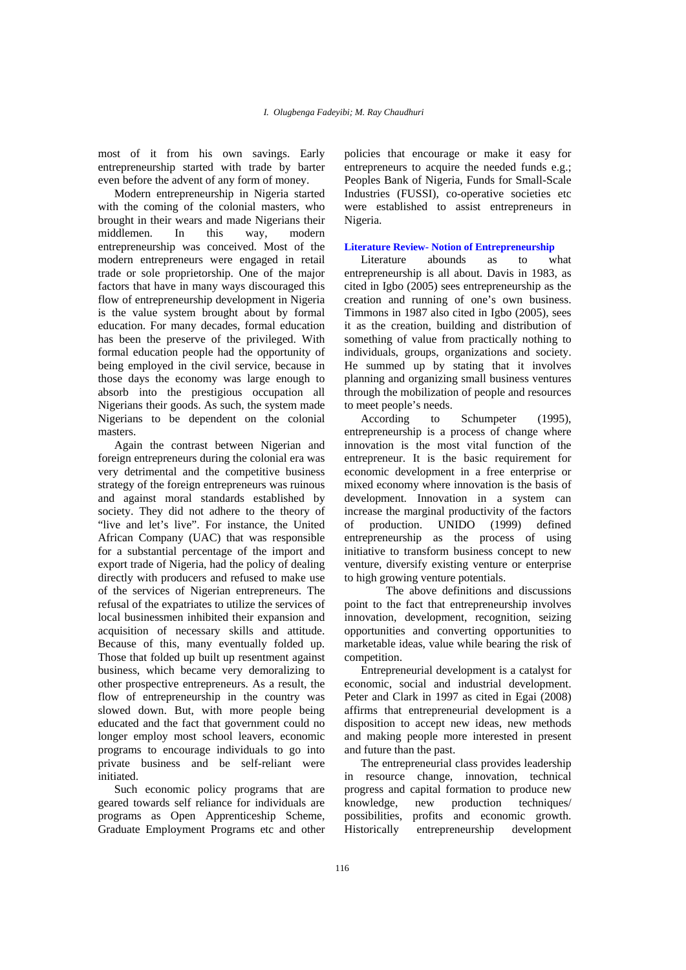most of it from his own savings. Early entrepreneurship started with trade by barter even before the advent of any form of money.

Modern entrepreneurship in Nigeria started with the coming of the colonial masters, who brought in their wears and made Nigerians their middlemen. In this way, modern entrepreneurship was conceived. Most of the modern entrepreneurs were engaged in retail trade or sole proprietorship. One of the major factors that have in many ways discouraged this flow of entrepreneurship development in Nigeria is the value system brought about by formal education. For many decades, formal education has been the preserve of the privileged. With formal education people had the opportunity of being employed in the civil service, because in those days the economy was large enough to absorb into the prestigious occupation all Nigerians their goods. As such, the system made Nigerians to be dependent on the colonial masters.

Again the contrast between Nigerian and foreign entrepreneurs during the colonial era was very detrimental and the competitive business strategy of the foreign entrepreneurs was ruinous and against moral standards established by society. They did not adhere to the theory of "live and let's live". For instance, the United African Company (UAC) that was responsible for a substantial percentage of the import and export trade of Nigeria, had the policy of dealing directly with producers and refused to make use of the services of Nigerian entrepreneurs. The refusal of the expatriates to utilize the services of local businessmen inhibited their expansion and acquisition of necessary skills and attitude. Because of this, many eventually folded up. Those that folded up built up resentment against business, which became very demoralizing to other prospective entrepreneurs. As a result, the flow of entrepreneurship in the country was slowed down. But, with more people being educated and the fact that government could no longer employ most school leavers, economic programs to encourage individuals to go into private business and be self-reliant were initiated.

Such economic policy programs that are geared towards self reliance for individuals are programs as Open Apprenticeship Scheme, Graduate Employment Programs etc and other policies that encourage or make it easy for entrepreneurs to acquire the needed funds e.g.; Peoples Bank of Nigeria, Funds for Small-Scale Industries (FUSSI), co-operative societies etc were established to assist entrepreneurs in Nigeria.

#### **Literature Review- Notion of Entrepreneurship**

Literature abounds as to what entrepreneurship is all about. Davis in 1983, as cited in Igbo (2005) sees entrepreneurship as the creation and running of one's own business. Timmons in 1987 also cited in Igbo (2005), sees it as the creation, building and distribution of something of value from practically nothing to individuals, groups, organizations and society. He summed up by stating that it involves planning and organizing small business ventures through the mobilization of people and resources to meet people's needs.

According to Schumpeter (1995), entrepreneurship is a process of change where innovation is the most vital function of the entrepreneur. It is the basic requirement for economic development in a free enterprise or mixed economy where innovation is the basis of development. Innovation in a system can increase the marginal productivity of the factors of production. UNIDO (1999) defined entrepreneurship as the process of using initiative to transform business concept to new venture, diversify existing venture or enterprise to high growing venture potentials.

 The above definitions and discussions point to the fact that entrepreneurship involves innovation, development, recognition, seizing opportunities and converting opportunities to marketable ideas, value while bearing the risk of competition.

Entrepreneurial development is a catalyst for economic, social and industrial development. Peter and Clark in 1997 as cited in Egai (2008) affirms that entrepreneurial development is a disposition to accept new ideas, new methods and making people more interested in present and future than the past.

The entrepreneurial class provides leadership in resource change, innovation, technical progress and capital formation to produce new knowledge, new production techniques/ possibilities, profits and economic growth. Historically entrepreneurship development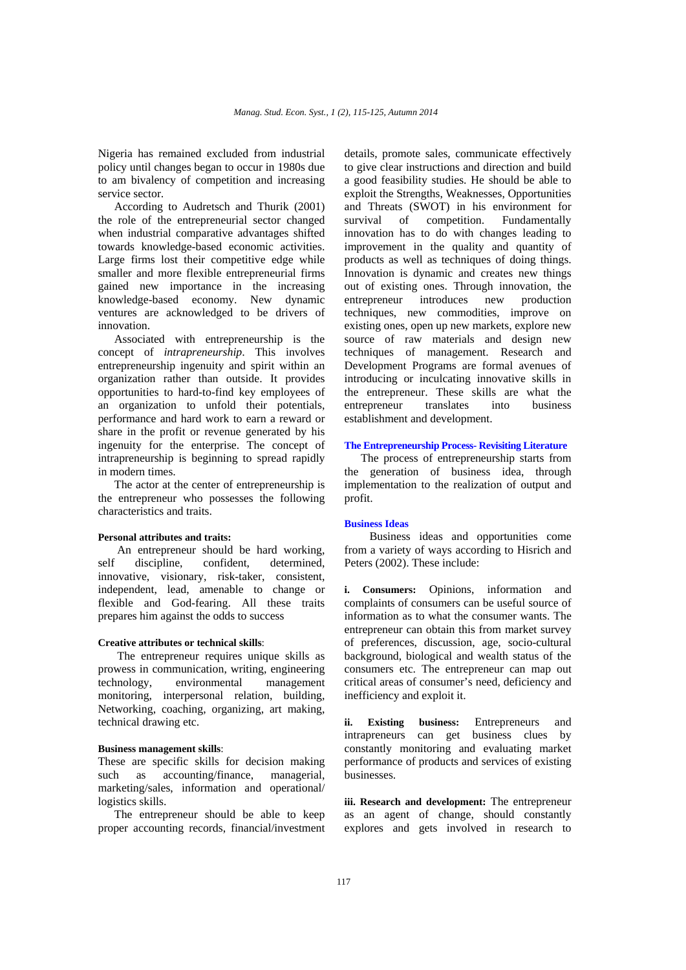Nigeria has remained excluded from industrial policy until changes began to occur in 1980s due to am bivalency of competition and increasing service sector.

According to Audretsch and Thurik (2001) the role of the entrepreneurial sector changed when industrial comparative advantages shifted towards knowledge-based economic activities. Large firms lost their competitive edge while smaller and more flexible entrepreneurial firms gained new importance in the increasing knowledge-based economy. New dynamic ventures are acknowledged to be drivers of innovation.

Associated with entrepreneurship is the concept of *intrapreneurship*. This involves entrepreneurship ingenuity and spirit within an organization rather than outside. It provides opportunities to hard-to-find key employees of an organization to unfold their potentials, performance and hard work to earn a reward or share in the profit or revenue generated by his ingenuity for the enterprise. The concept of intrapreneurship is beginning to spread rapidly in modern times.

The actor at the center of entrepreneurship is the entrepreneur who possesses the following characteristics and traits.

## **Personal attributes and traits:**

 An entrepreneur should be hard working, self discipline, confident, determined, innovative, visionary, risk-taker, consistent, independent, lead, amenable to change or flexible and God-fearing. All these traits prepares him against the odds to success

#### **Creative attributes or technical skills**:

 The entrepreneur requires unique skills as prowess in communication, writing, engineering technology, environmental management monitoring, interpersonal relation, building, Networking, coaching, organizing, art making, technical drawing etc.

#### **Business management skills**:

These are specific skills for decision making such as accounting/finance, managerial, marketing/sales, information and operational/ logistics skills.

The entrepreneur should be able to keep proper accounting records, financial/investment details, promote sales, communicate effectively to give clear instructions and direction and build a good feasibility studies. He should be able to exploit the Strengths, Weaknesses, Opportunities and Threats (SWOT) in his environment for survival of competition. Fundamentally innovation has to do with changes leading to improvement in the quality and quantity of products as well as techniques of doing things. Innovation is dynamic and creates new things out of existing ones. Through innovation, the entrepreneur introduces new production techniques, new commodities, improve on existing ones, open up new markets, explore new source of raw materials and design new techniques of management. Research and Development Programs are formal avenues of introducing or inculcating innovative skills in the entrepreneur. These skills are what the entrepreneur translates into business establishment and development.

#### **The Entrepreneurship Process- Revisiting Literature**

The process of entrepreneurship starts from the generation of business idea, through implementation to the realization of output and profit.

# **Business Ideas**

 Business ideas and opportunities come from a variety of ways according to Hisrich and Peters (2002). These include:

**i. Consumers:** Opinions, information and complaints of consumers can be useful source of information as to what the consumer wants. The entrepreneur can obtain this from market survey of preferences, discussion, age, socio-cultural background, biological and wealth status of the consumers etc. The entrepreneur can map out critical areas of consumer's need, deficiency and inefficiency and exploit it.

**ii. Existing business:** Entrepreneurs and intrapreneurs can get business clues by constantly monitoring and evaluating market performance of products and services of existing businesses.

**iii. Research and development:** The entrepreneur as an agent of change, should constantly explores and gets involved in research to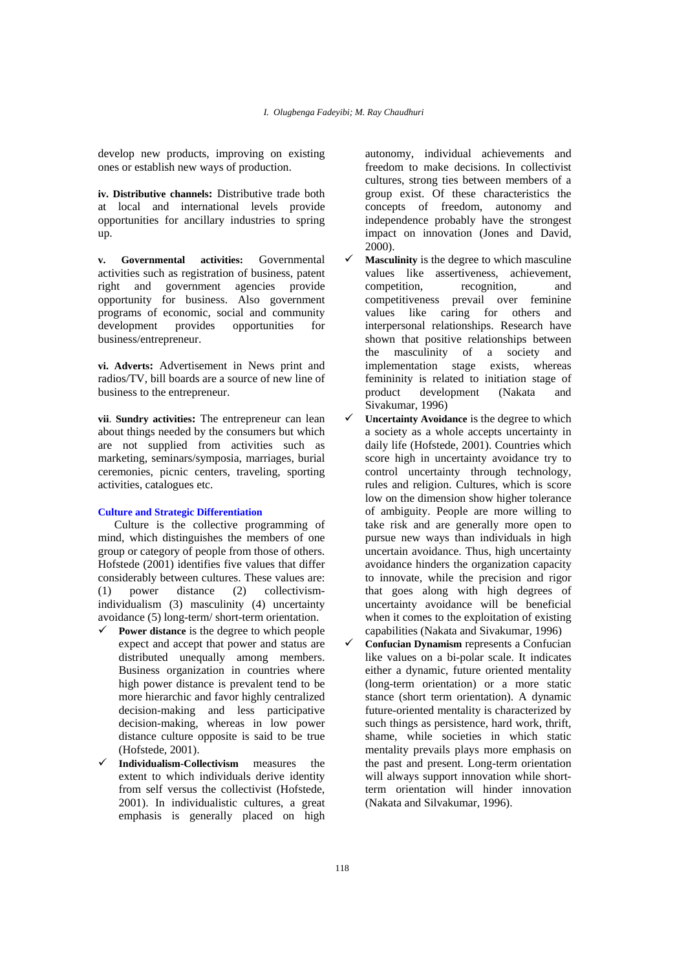develop new products, improving on existing ones or establish new ways of production.

**iv. Distributive channels:** Distributive trade both at local and international levels provide opportunities for ancillary industries to spring up.

**v. Governmental activities:** Governmental activities such as registration of business, patent right and government agencies provide opportunity for business. Also government programs of economic, social and community development provides opportunities for business/entrepreneur.

**vi. Adverts:** Advertisement in News print and radios/TV, bill boards are a source of new line of business to the entrepreneur.

**vii**. **Sundry activities:** The entrepreneur can lean about things needed by the consumers but which are not supplied from activities such as marketing, seminars/symposia, marriages, burial ceremonies, picnic centers, traveling, sporting activities, catalogues etc.

## **Culture and Strategic Differentiation**

Culture is the collective programming of mind, which distinguishes the members of one group or category of people from those of others. Hofstede (2001) identifies five values that differ considerably between cultures. These values are: (1) power distance (2) collectivismindividualism (3) masculinity (4) uncertainty avoidance (5) long-term/ short-term orientation.

- **Power distance** is the degree to which people expect and accept that power and status are distributed unequally among members. Business organization in countries where high power distance is prevalent tend to be more hierarchic and favor highly centralized decision-making and less participative decision-making, whereas in low power distance culture opposite is said to be true (Hofstede, 2001).
- **Individualism-Collectivism** measures the extent to which individuals derive identity from self versus the collectivist (Hofstede, 2001). In individualistic cultures, a great emphasis is generally placed on high

autonomy, individual achievements and freedom to make decisions. In collectivist cultures, strong ties between members of a group exist. Of these characteristics the concepts of freedom, autonomy and independence probably have the strongest impact on innovation (Jones and David, 2000).

- **Masculinity** is the degree to which masculine values like assertiveness, achievement, competition, recognition, and competitiveness prevail over feminine values like caring for others and interpersonal relationships. Research have shown that positive relationships between the masculinity of a society and implementation stage exists, whereas femininity is related to initiation stage of product development (Nakata and Sivakumar, 1996)
- **Uncertainty Avoidance** is the degree to which a society as a whole accepts uncertainty in daily life (Hofstede, 2001). Countries which score high in uncertainty avoidance try to control uncertainty through technology, rules and religion. Cultures, which is score low on the dimension show higher tolerance of ambiguity. People are more willing to take risk and are generally more open to pursue new ways than individuals in high uncertain avoidance. Thus, high uncertainty avoidance hinders the organization capacity to innovate, while the precision and rigor that goes along with high degrees of uncertainty avoidance will be beneficial when it comes to the exploitation of existing capabilities (Nakata and Sivakumar, 1996)

 **Confucian Dynamism** represents a Confucian like values on a bi-polar scale. It indicates either a dynamic, future oriented mentality (long-term orientation) or a more static stance (short term orientation). A dynamic future-oriented mentality is characterized by such things as persistence, hard work, thrift, shame, while societies in which static mentality prevails plays more emphasis on the past and present. Long-term orientation will always support innovation while shortterm orientation will hinder innovation (Nakata and Silvakumar, 1996).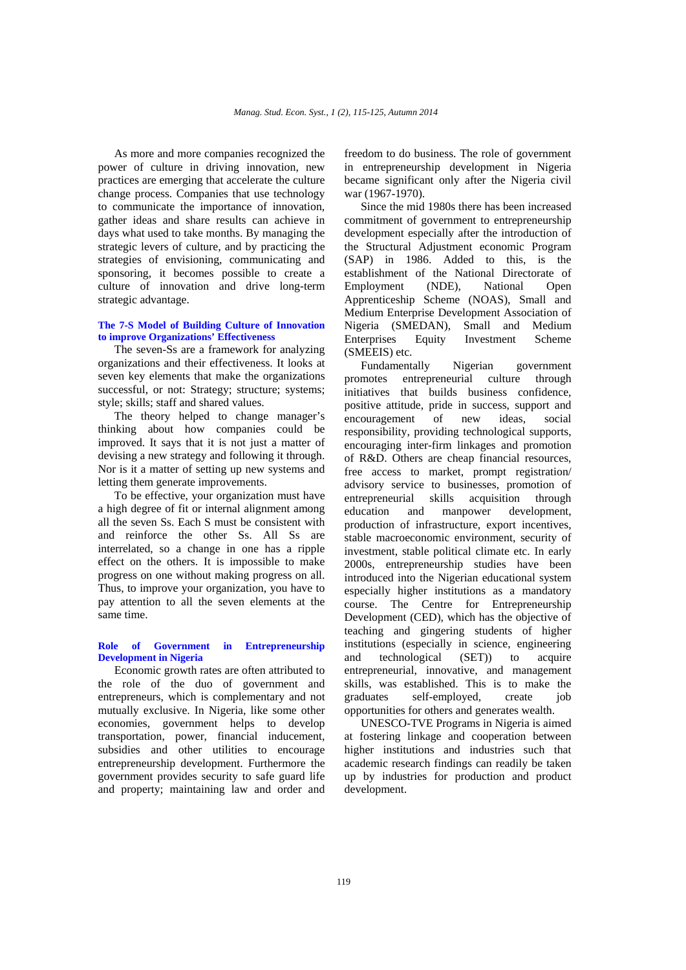As more and more companies recognized the power of culture in driving innovation, new practices are emerging that accelerate the culture change process. Companies that use technology to communicate the importance of innovation, gather ideas and share results can achieve in days what used to take months. By managing the strategic levers of culture, and by practicing the strategies of envisioning, communicating and sponsoring, it becomes possible to create a culture of innovation and drive long-term strategic advantage.

#### **The 7-S Model of Building Culture of Innovation to improve Organizations' Effectiveness**

The seven-Ss are a framework for analyzing organizations and their effectiveness. It looks at seven key elements that make the organizations successful, or not: Strategy; structure; systems; style; skills; staff and shared values.

The theory helped to change manager's thinking about how companies could be improved. It says that it is not just a matter of devising a new strategy and following it through. Nor is it a matter of setting up new systems and letting them generate improvements.

To be effective, your organization must have a high degree of fit or internal alignment among all the seven Ss. Each S must be consistent with and reinforce the other Ss. All Ss are interrelated, so a change in one has a ripple effect on the others. It is impossible to make progress on one without making progress on all. Thus, to improve your organization, you have to pay attention to all the seven elements at the same time.

# **Role of Government in Entrepreneurship Development in Nigeria**

Economic growth rates are often attributed to the role of the duo of government and entrepreneurs, which is complementary and not mutually exclusive. In Nigeria, like some other economies, government helps to develop transportation, power, financial inducement, subsidies and other utilities to encourage entrepreneurship development. Furthermore the government provides security to safe guard life and property; maintaining law and order and

freedom to do business. The role of government in entrepreneurship development in Nigeria became significant only after the Nigeria civil war (1967-1970).

Since the mid 1980s there has been increased commitment of government to entrepreneurship development especially after the introduction of the Structural Adjustment economic Program (SAP) in 1986. Added to this, is the establishment of the National Directorate of<br>Employment (NDE), National Onen Employment (NDE), National Open Apprenticeship Scheme (NOAS), Small and Medium Enterprise Development Association of Nigeria (SMEDAN), Small and Medium Enterprises Equity Investment Scheme (SMEEIS) etc.

Fundamentally Nigerian government promotes entrepreneurial culture through initiatives that builds business confidence, positive attitude, pride in success, support and encouragement of new ideas, social responsibility, providing technological supports, encouraging inter-firm linkages and promotion of R&D. Others are cheap financial resources, free access to market, prompt registration/ advisory service to businesses, promotion of entrepreneurial skills acquisition through education and manpower development, production of infrastructure, export incentives, stable macroeconomic environment, security of investment, stable political climate etc. In early 2000s, entrepreneurship studies have been introduced into the Nigerian educational system especially higher institutions as a mandatory course. The Centre for Entrepreneurship Development (CED), which has the objective of teaching and gingering students of higher institutions (especially in science, engineering and technological (SET)) to acquire entrepreneurial, innovative, and management skills, was established. This is to make the graduates self-employed, create job opportunities for others and generates wealth.

UNESCO-TVE Programs in Nigeria is aimed at fostering linkage and cooperation between higher institutions and industries such that academic research findings can readily be taken up by industries for production and product development.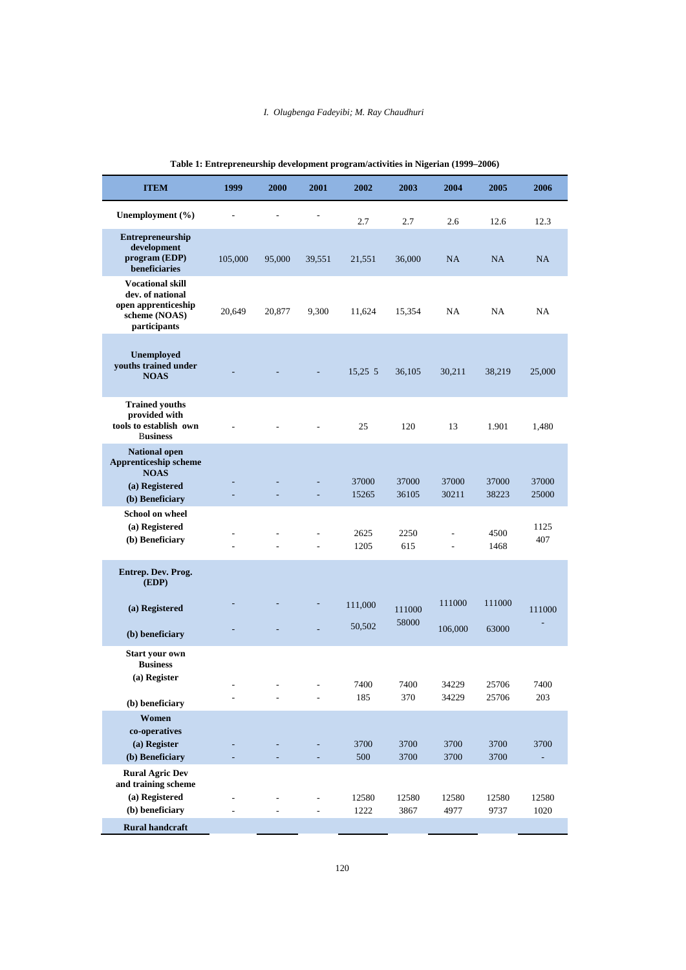#### *I. Olugbenga Fadeyibi; M. Ray Chaudhuri*

| <b>ITEM</b>                                                                                         | 1999    | 2000   | 2001          | 2002           | 2003            | 2004           | 2005           | 2006           |
|-----------------------------------------------------------------------------------------------------|---------|--------|---------------|----------------|-----------------|----------------|----------------|----------------|
| Unemployment (%)                                                                                    |         |        |               | 2.7            | 2.7             | 2.6            | 12.6           | 12.3           |
| Entrepreneurship<br>development<br>program (EDP)<br>beneficiaries                                   | 105,000 | 95,000 | 39,551        | 21,551         | 36,000          | NA             | NA             | NA             |
| <b>Vocational skill</b><br>dev. of national<br>open apprenticeship<br>scheme (NOAS)<br>participants | 20,649  | 20,877 | 9,300         | 11,624         | 15,354          | NA             | NA             | NA             |
| Unemployed<br>youths trained under<br><b>NOAS</b>                                                   |         |        |               | 15,25 5        | 36,105          | 30,211         | 38,219         | 25,000         |
| <b>Trained youths</b><br>provided with<br>tools to establish own<br><b>Business</b>                 |         |        |               | 25             | 120             | 13             | 1.901          | 1,480          |
| <b>National open</b><br><b>Apprenticeship scheme</b><br><b>NOAS</b>                                 |         |        |               |                |                 |                |                |                |
| (a) Registered<br>(b) Beneficiary                                                                   |         |        |               | 37000<br>15265 | 37000<br>36105  | 37000<br>30211 | 37000<br>38223 | 37000<br>25000 |
| <b>School on wheel</b><br>(a) Registered<br>(b) Beneficiary                                         |         |        |               | 2625<br>1205   | 2250<br>615     |                | 4500<br>1468   | 1125<br>407    |
| Entrep. Dev. Prog.<br>(EDP)                                                                         |         |        |               |                |                 |                |                |                |
| (a) Registered                                                                                      |         |        |               | 111,000        | 111000<br>58000 | 111000         | 111000         | 111000         |
| (b) beneficiary                                                                                     |         |        |               | 50,502         |                 | 106,000        | 63000          |                |
| <b>Start your own</b><br><b>Business</b><br>(a) Register                                            |         |        |               | 7400           | 7400            | 34229          | 25706          | 7400           |
| (b) beneficiary                                                                                     |         |        | $\frac{1}{2}$ | 185            | 370             | 34229          | 25706          | 203            |
| Women<br>co-operatives<br>(a) Register<br>(b) Beneficiary                                           |         |        |               | 3700<br>500    | 3700<br>3700    | 3700<br>3700   | 3700<br>3700   | 3700           |
| <b>Rural Agric Dev</b><br>and training scheme<br>(a) Registered<br>(b) beneficiary                  |         |        | ÷             | 12580<br>1222  | 12580<br>3867   | 12580<br>4977  | 12580<br>9737  | 12580<br>1020  |
| <b>Rural handcraft</b>                                                                              |         |        |               |                |                 |                |                |                |

| Table 1: Entrepreneurship development program/activities in Nigerian (1999–2006) |  |  |  |  |
|----------------------------------------------------------------------------------|--|--|--|--|
|                                                                                  |  |  |  |  |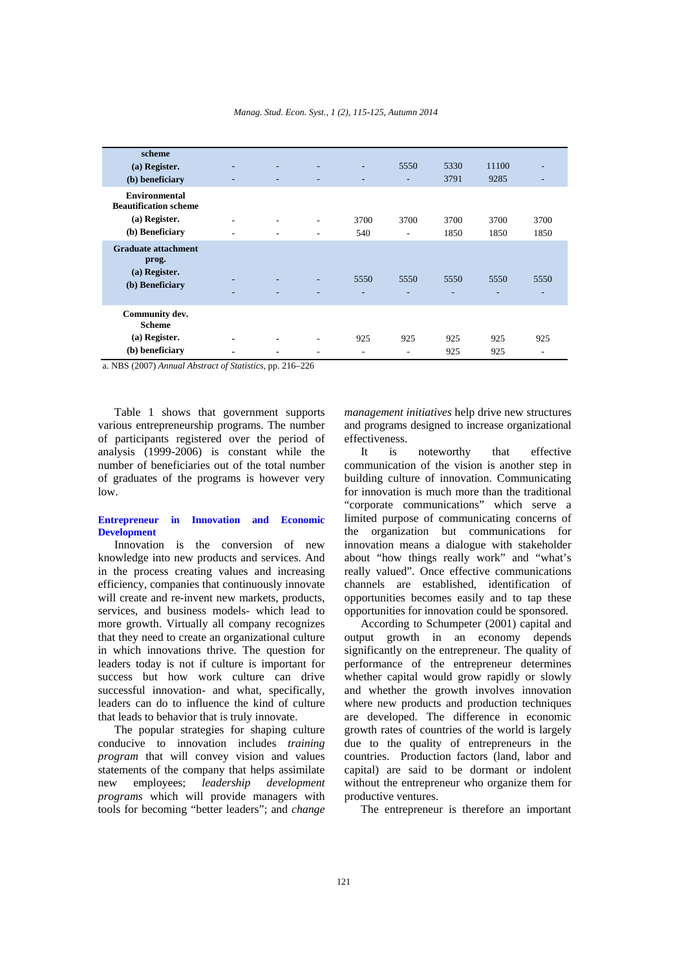| scheme                                               |                |                          |                          |          |                                  |              |               |                          |
|------------------------------------------------------|----------------|--------------------------|--------------------------|----------|----------------------------------|--------------|---------------|--------------------------|
| (a) Register.<br>(b) beneficiary                     | ۰              | $\overline{\phantom{0}}$ | $\overline{\phantom{a}}$ | ۰.<br>۰. | 5550<br>$\overline{\phantom{0}}$ | 5330<br>3791 | 11100<br>9285 | $\overline{\phantom{a}}$ |
| <b>Environmental</b><br><b>Beautification scheme</b> |                |                          |                          |          |                                  |              |               |                          |
| (a) Register.                                        | ۰              | ۰                        | $\overline{\phantom{a}}$ | 3700     | 3700                             | 3700         | 3700          | 3700                     |
| (b) Beneficiary                                      | ٠              |                          | ۰                        | 540      | ۰                                | 1850         | 1850          | 1850                     |
| <b>Graduate attachment</b><br>prog.<br>(a) Register. |                |                          |                          |          |                                  |              |               |                          |
|                                                      |                |                          |                          | 5550     | 5550                             | 5550         | 5550          | 5550                     |
| (b) Beneficiary                                      | ۰              |                          |                          | ۰        | ۰                                | ÷            | ۰             | $\overline{\phantom{a}}$ |
| Community dev.<br><b>Scheme</b>                      |                |                          |                          |          |                                  |              |               |                          |
| (a) Register.                                        | $\blacksquare$ |                          | ٠                        | 925      | 925                              | 925          | 925           | 925                      |
| (b) beneficiary                                      | $\blacksquare$ | $\blacksquare$           | ۰                        | ۰        | ۰                                | 925          | 925           | ٠                        |

a. NBS (2007) *Annual Abstract of Statistics,* pp. 216–226

Table 1 shows that government supports various entrepreneurship programs. The number of participants registered over the period of analysis (1999-2006) is constant while the number of beneficiaries out of the total number of graduates of the programs is however very low.

#### **Entrepreneur in Innovation and Economic Development**

Innovation is the conversion of new knowledge into new products and services. And in the process creating values and increasing efficiency, companies that continuously innovate will create and re-invent new markets, products, services, and business models- which lead to more growth. Virtually all company recognizes that they need to create an organizational culture in which innovations thrive. The question for leaders today is not if culture is important for success but how work culture can drive successful innovation- and what, specifically, leaders can do to influence the kind of culture that leads to behavior that is truly innovate.

The popular strategies for shaping culture conducive to innovation includes *training program* that will convey vision and values statements of the company that helps assimilate new employees; *leadership development programs* which will provide managers with tools for becoming "better leaders"; and *change* 

*management initiatives* help drive new structures and programs designed to increase organizational effectiveness.

It is noteworthy that effective communication of the vision is another step in building culture of innovation. Communicating for innovation is much more than the traditional "corporate communications" which serve a limited purpose of communicating concerns of the organization but communications for innovation means a dialogue with stakeholder about "how things really work" and "what's really valued". Once effective communications channels are established, identification of opportunities becomes easily and to tap these opportunities for innovation could be sponsored.

According to Schumpeter (2001) capital and output growth in an economy depends significantly on the entrepreneur. The quality of performance of the entrepreneur determines whether capital would grow rapidly or slowly and whether the growth involves innovation where new products and production techniques are developed. The difference in economic growth rates of countries of the world is largely due to the quality of entrepreneurs in the countries. Production factors (land, labor and capital) are said to be dormant or indolent without the entrepreneur who organize them for productive ventures.

The entrepreneur is therefore an important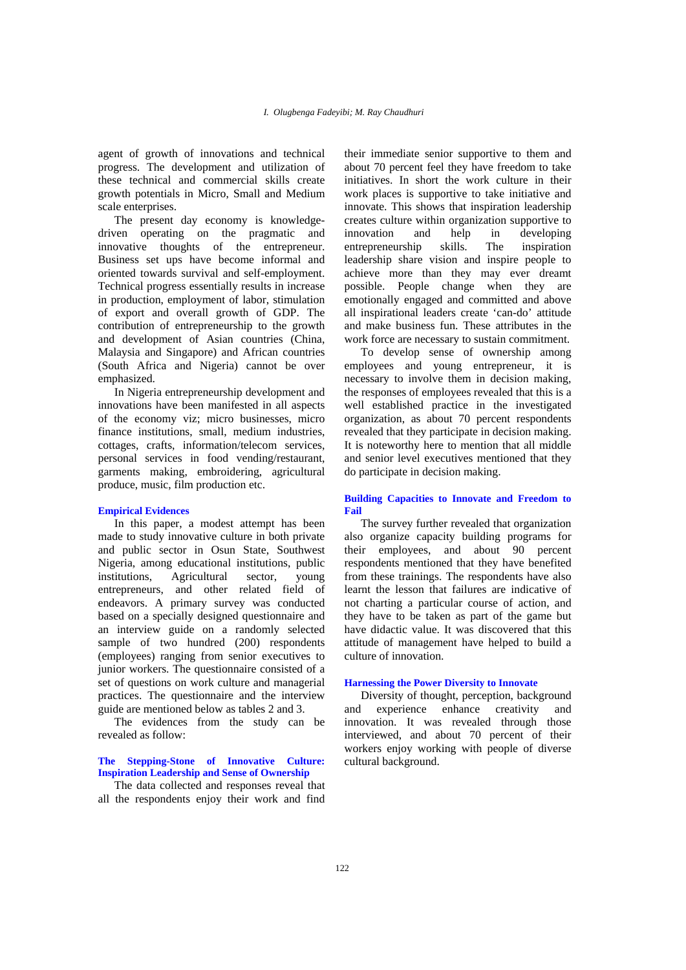agent of growth of innovations and technical progress. The development and utilization of these technical and commercial skills create growth potentials in Micro, Small and Medium scale enterprises.

The present day economy is knowledgedriven operating on the pragmatic and innovative thoughts of the entrepreneur. Business set ups have become informal and oriented towards survival and self-employment. Technical progress essentially results in increase in production, employment of labor, stimulation of export and overall growth of GDP. The contribution of entrepreneurship to the growth and development of Asian countries (China, Malaysia and Singapore) and African countries (South Africa and Nigeria) cannot be over emphasized.

In Nigeria entrepreneurship development and innovations have been manifested in all aspects of the economy viz; micro businesses, micro finance institutions, small, medium industries, cottages, crafts, information/telecom services, personal services in food vending/restaurant, garments making, embroidering, agricultural produce, music, film production etc.

#### **Empirical Evidences**

In this paper, a modest attempt has been made to study innovative culture in both private and public sector in Osun State, Southwest Nigeria, among educational institutions, public institutions, Agricultural sector, young entrepreneurs, and other related field of endeavors. A primary survey was conducted based on a specially designed questionnaire and an interview guide on a randomly selected sample of two hundred (200) respondents (employees) ranging from senior executives to junior workers. The questionnaire consisted of a set of questions on work culture and managerial practices. The questionnaire and the interview guide are mentioned below as tables 2 and 3.

The evidences from the study can be revealed as follow:

# **The Stepping-Stone of Innovative Culture: Inspiration Leadership and Sense of Ownership**

The data collected and responses reveal that all the respondents enjoy their work and find their immediate senior supportive to them and about 70 percent feel they have freedom to take initiatives. In short the work culture in their work places is supportive to take initiative and innovate. This shows that inspiration leadership creates culture within organization supportive to innovation and help in developing entrepreneurship skills. The inspiration leadership share vision and inspire people to achieve more than they may ever dreamt possible. People change when they are emotionally engaged and committed and above all inspirational leaders create 'can-do' attitude and make business fun. These attributes in the work force are necessary to sustain commitment.

To develop sense of ownership among employees and young entrepreneur, it is necessary to involve them in decision making, the responses of employees revealed that this is a well established practice in the investigated organization, as about 70 percent respondents revealed that they participate in decision making. It is noteworthy here to mention that all middle and senior level executives mentioned that they do participate in decision making.

#### **Building Capacities to Innovate and Freedom to Fail**

The survey further revealed that organization also organize capacity building programs for their employees, and about 90 percent respondents mentioned that they have benefited from these trainings. The respondents have also learnt the lesson that failures are indicative of not charting a particular course of action, and they have to be taken as part of the game but have didactic value. It was discovered that this attitude of management have helped to build a culture of innovation.

#### **Harnessing the Power Diversity to Innovate**

Diversity of thought, perception, background and experience enhance creativity and innovation. It was revealed through those interviewed, and about 70 percent of their workers enjoy working with people of diverse cultural background.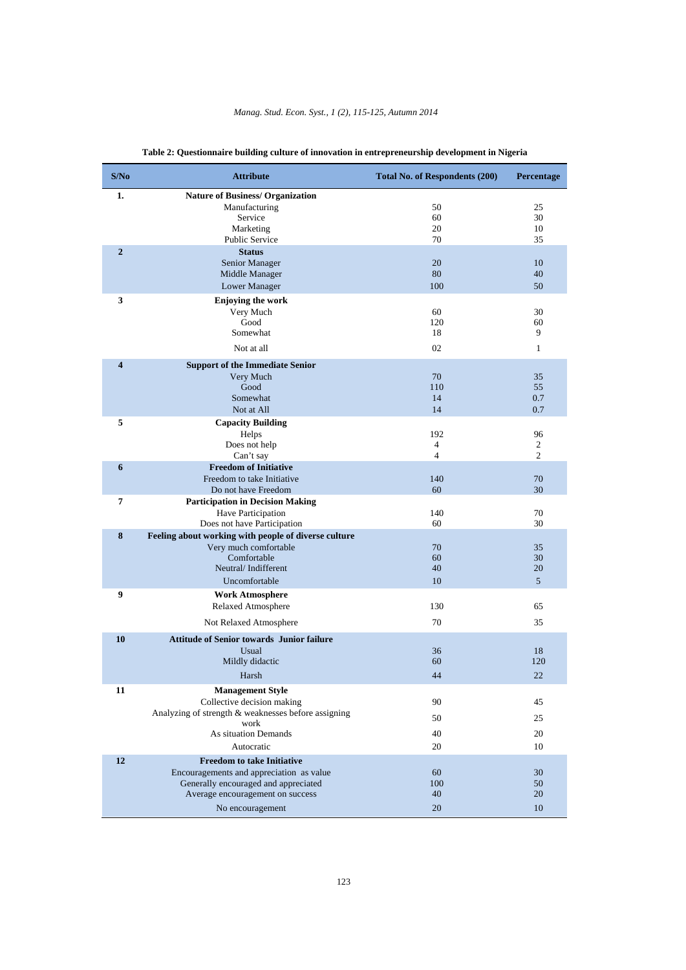| S/No                | <b>Attribute</b>                                                                                                                                                              | <b>Total No. of Respondents (200)</b>   | Percentage                    |
|---------------------|-------------------------------------------------------------------------------------------------------------------------------------------------------------------------------|-----------------------------------------|-------------------------------|
| 1.                  | <b>Nature of Business/ Organization</b><br>Manufacturing<br>Service<br>Marketing<br><b>Public Service</b>                                                                     | 50<br>60<br>20<br>70                    | 25<br>30<br>10<br>35          |
| $\overline{2}$      | <b>Status</b><br>Senior Manager<br>Middle Manager<br>Lower Manager                                                                                                            | 20<br>80<br>100                         | 10<br>40<br>50                |
| 3                   | <b>Enjoying the work</b><br>Very Much<br>Good<br>Somewhat<br>Not at all                                                                                                       | 60<br>120<br>18<br>02                   | 30<br>60<br>9<br>$\mathbf{1}$ |
| $\overline{\bf{4}}$ | <b>Support of the Immediate Senior</b><br>Very Much<br>Good<br>Somewhat<br>Not at All                                                                                         | 70<br>110<br>14<br>14                   | 35<br>55<br>0.7<br>0.7        |
| 5                   | <b>Capacity Building</b><br>Helps<br>Does not help<br>Can't say                                                                                                               | 192<br>$\overline{4}$<br>$\overline{4}$ | 96<br>2<br>2                  |
| 6                   | <b>Freedom of Initiative</b><br>Freedom to take Initiative<br>Do not have Freedom                                                                                             | 140<br>60                               | 70<br>30                      |
| 7                   | <b>Participation in Decision Making</b><br>Have Participation<br>Does not have Participation                                                                                  | 140<br>60                               | 70<br>30                      |
| 8                   | Feeling about working with people of diverse culture<br>Very much comfortable<br>Comfortable<br>Neutral/Indifferent<br>Uncomfortable                                          | 70<br>60<br>40<br>10                    | 35<br>30<br>20<br>5           |
| 9                   | <b>Work Atmosphere</b><br>Relaxed Atmosphere<br>Not Relaxed Atmosphere                                                                                                        | 130<br>70                               | 65<br>35                      |
| 10                  | <b>Attitude of Senior towards Junior failure</b><br>Usual<br>Mildly didactic<br>Harsh                                                                                         | 36<br>60<br>44                          | 18<br>120<br>22               |
| 11                  | <b>Management Style</b><br>Collective decision making<br>Analyzing of strength & weaknesses before assigning<br>work<br>As situation Demands<br>Autocratic                    | 90<br>50<br>40<br>20                    | 45<br>25<br>20<br>10          |
| 12                  | <b>Freedom to take Initiative</b><br>Encouragements and appreciation as value<br>Generally encouraged and appreciated<br>Average encouragement on success<br>No encouragement | 60<br>100<br>40<br>20                   | 30<br>50<br>20<br>10          |

# **Table 2: Questionnaire building culture of innovation in entrepreneurship development in Nigeria**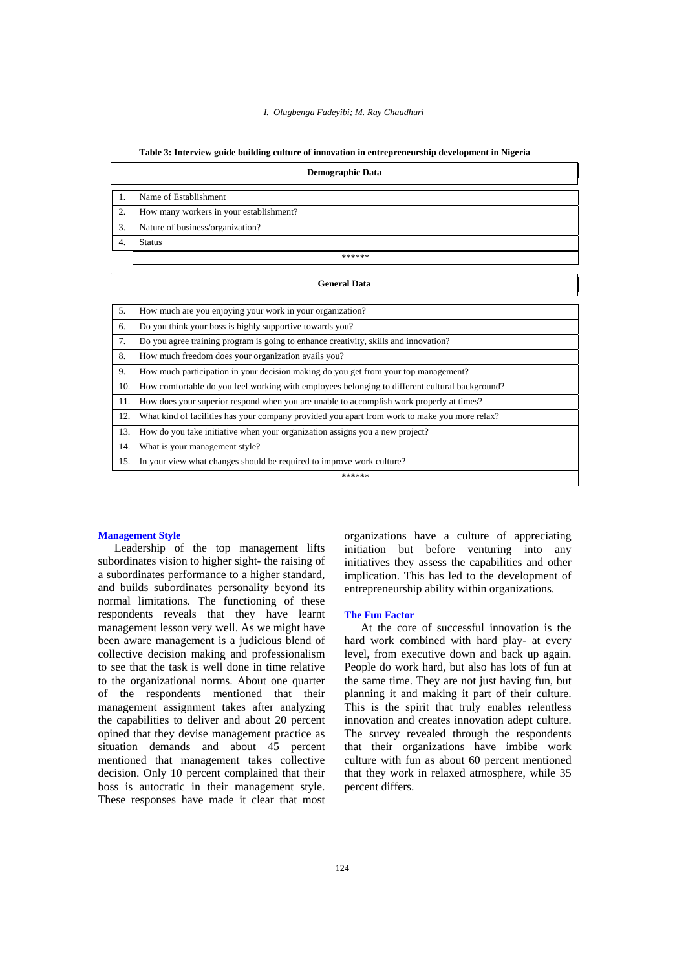|  | Table 3: Interview guide building culture of innovation in entrepreneurship development in Nigeria |  |  |  |
|--|----------------------------------------------------------------------------------------------------|--|--|--|

|                  | <b>Demographic Data</b>                                                                        |
|------------------|------------------------------------------------------------------------------------------------|
| 1.               | Name of Establishment                                                                          |
| $\overline{2}$ . | How many workers in your establishment?                                                        |
| 3.               | Nature of business/organization?                                                               |
| 4.               | <b>Status</b>                                                                                  |
|                  | ******                                                                                         |
|                  | <b>General Data</b>                                                                            |
| 5.               | How much are you enjoying your work in your organization?                                      |
| 6.               | Do you think your boss is highly supportive towards you?                                       |
| 7.               | Do you agree training program is going to enhance creativity, skills and innovation?           |
| 8.               | How much freedom does your organization avails you?                                            |
| 9.               | How much participation in your decision making do you get from your top management?            |
| 10.              | How comfortable do you feel working with employees belonging to different cultural background? |
| 11.              | How does your superior respond when you are unable to accomplish work properly at times?       |
| 12.              | What kind of facilities has your company provided you apart from work to make you more relax?  |
| 13.              | How do you take initiative when your organization assigns you a new project?                   |
| 14.              | What is your management style?                                                                 |
| 15.              | In your view what changes should be required to improve work culture?                          |

\*\*\*\*\*\*

#### **Management Style**

Leadership of the top management lifts subordinates vision to higher sight- the raising of a subordinates performance to a higher standard, and builds subordinates personality beyond its normal limitations. The functioning of these respondents reveals that they have learnt management lesson very well. As we might have been aware management is a judicious blend of collective decision making and professionalism to see that the task is well done in time relative to the organizational norms. About one quarter of the respondents mentioned that their management assignment takes after analyzing the capabilities to deliver and about 20 percent opined that they devise management practice as situation demands and about 45 percent mentioned that management takes collective decision. Only 10 percent complained that their boss is autocratic in their management style. These responses have made it clear that most organizations have a culture of appreciating initiation but before venturing into any initiatives they assess the capabilities and other implication. This has led to the development of entrepreneurship ability within organizations.

#### **The Fun Factor**

At the core of successful innovation is the hard work combined with hard play- at every level, from executive down and back up again. People do work hard, but also has lots of fun at the same time. They are not just having fun, but planning it and making it part of their culture. This is the spirit that truly enables relentless innovation and creates innovation adept culture. The survey revealed through the respondents that their organizations have imbibe work culture with fun as about 60 percent mentioned that they work in relaxed atmosphere, while 35 percent differs.